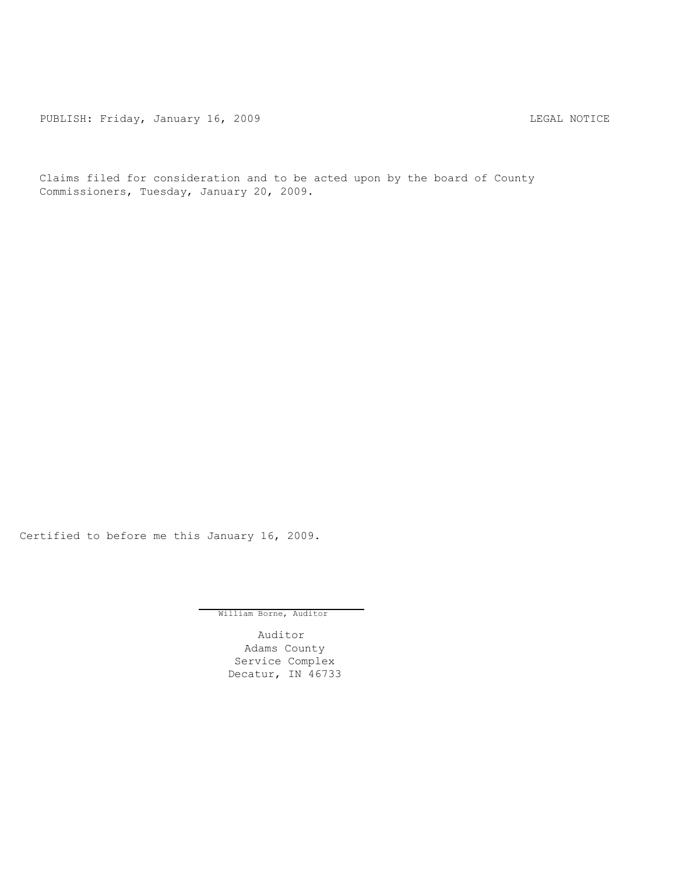PUBLISH: Friday, January 16, 2009 <br>
LEGAL NOTICE

Claims filed for consideration and to be acted upon by the board of County Commissioners, Tuesday, January 20, 2009.

Certified to before me this January 16, 2009.

William Borne, Auditor

Auditor Adams County Service Complex Decatur, IN 46733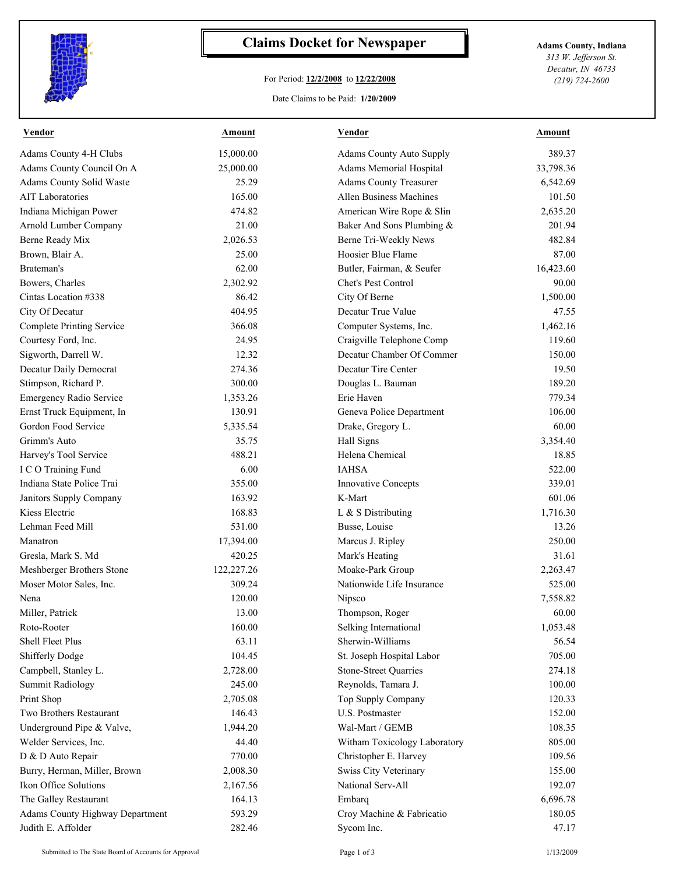

## **Claims Docket for Newspaper Adams County, Indiana**

## For Period: **12/2/2008** to **12/22/2008**

*313 W. Jefferson St. Decatur, IN 46733 (219) 724-2600*

## Date Claims to be Paid: **1/20/2009**

| <b>Vendor</b>                                         | <b>Amount</b> | <b>Vendor</b>                   | <b>Amount</b> |
|-------------------------------------------------------|---------------|---------------------------------|---------------|
| Adams County 4-H Clubs                                | 15,000.00     | <b>Adams County Auto Supply</b> | 389.37        |
| Adams County Council On A                             | 25,000.00     | Adams Memorial Hospital         | 33,798.36     |
| Adams County Solid Waste                              | 25.29         | <b>Adams County Treasurer</b>   | 6,542.69      |
| <b>AIT</b> Laboratories                               | 165.00        | Allen Business Machines         | 101.50        |
| Indiana Michigan Power                                | 474.82        | American Wire Rope & Slin       | 2,635.20      |
| Arnold Lumber Company                                 | 21.00         | Baker And Sons Plumbing &       | 201.94        |
| Berne Ready Mix                                       | 2,026.53      | Berne Tri-Weekly News           | 482.84        |
| Brown, Blair A.                                       | 25.00         | Hoosier Blue Flame              | 87.00         |
| Brateman's                                            | 62.00         | Butler, Fairman, & Seufer       | 16,423.60     |
| Bowers, Charles                                       | 2,302.92      | Chet's Pest Control             | 90.00         |
| Cintas Location #338                                  | 86.42         | City Of Berne                   | 1,500.00      |
| City Of Decatur                                       | 404.95        | Decatur True Value              | 47.55         |
| <b>Complete Printing Service</b>                      | 366.08        | Computer Systems, Inc.          | 1,462.16      |
| Courtesy Ford, Inc.                                   | 24.95         | Craigville Telephone Comp       | 119.60        |
| Sigworth, Darrell W.                                  | 12.32         | Decatur Chamber Of Commer       | 150.00        |
| Decatur Daily Democrat                                | 274.36        | Decatur Tire Center             | 19.50         |
| Stimpson, Richard P.                                  | 300.00        | Douglas L. Bauman               | 189.20        |
| Emergency Radio Service                               | 1,353.26      | Erie Haven                      | 779.34        |
| Ernst Truck Equipment, In                             | 130.91        | Geneva Police Department        | 106.00        |
| Gordon Food Service                                   | 5,335.54      | Drake, Gregory L.               | 60.00         |
| Grimm's Auto                                          | 35.75         | Hall Signs                      | 3,354.40      |
| Harvey's Tool Service                                 | 488.21        | Helena Chemical                 | 18.85         |
| I C O Training Fund                                   | 6.00          | <b>IAHSA</b>                    | 522.00        |
| Indiana State Police Trai                             | 355.00        | Innovative Concepts             | 339.01        |
| Janitors Supply Company                               | 163.92        | K-Mart                          | 601.06        |
| Kiess Electric                                        | 168.83        | L & S Distributing              | 1,716.30      |
| Lehman Feed Mill                                      | 531.00        | Busse, Louise                   | 13.26         |
| Manatron                                              | 17,394.00     | Marcus J. Ripley                | 250.00        |
| Gresla, Mark S. Md                                    | 420.25        | Mark's Heating                  | 31.61         |
| Meshberger Brothers Stone                             | 122,227.26    | Moake-Park Group                | 2,263.47      |
| Moser Motor Sales, Inc.                               | 309.24        | Nationwide Life Insurance       | 525.00        |
| Nena                                                  | 120.00        | Nipsco                          | 7,558.82      |
| Miller, Patrick                                       | 13.00         | Thompson, Roger                 | 60.00         |
| Roto-Rooter                                           | 160.00        | Selking International           | 1,053.48      |
| Shell Fleet Plus                                      | 63.11         | Sherwin-Williams                | 56.54         |
| <b>Shifferly Dodge</b>                                | 104.45        | St. Joseph Hospital Labor       | 705.00        |
| Campbell, Stanley L.                                  | 2,728.00      | <b>Stone-Street Quarries</b>    | 274.18        |
| <b>Summit Radiology</b>                               | 245.00        | Reynolds, Tamara J.             | 100.00        |
| Print Shop                                            | 2,705.08      | Top Supply Company              | 120.33        |
| Two Brothers Restaurant                               | 146.43        | U.S. Postmaster                 | 152.00        |
| Underground Pipe & Valve,                             | 1,944.20      | Wal-Mart / GEMB                 | 108.35        |
| Welder Services, Inc.                                 | 44.40         | Witham Toxicology Laboratory    | 805.00        |
| D & D Auto Repair                                     | 770.00        | Christopher E. Harvey           | 109.56        |
| Burry, Herman, Miller, Brown                          | 2,008.30      | Swiss City Veterinary           | 155.00        |
| Ikon Office Solutions                                 | 2,167.56      | National Serv-All               | 192.07        |
| The Galley Restaurant                                 |               |                                 |               |
|                                                       | 164.13        | Embarq                          | 6,696.78      |
| Adams County Highway Department<br>Judith E. Affolder | 593.29        | Croy Machine & Fabricatio       | 180.05        |
|                                                       | 282.46        | Sycom Inc.                      | 47.17         |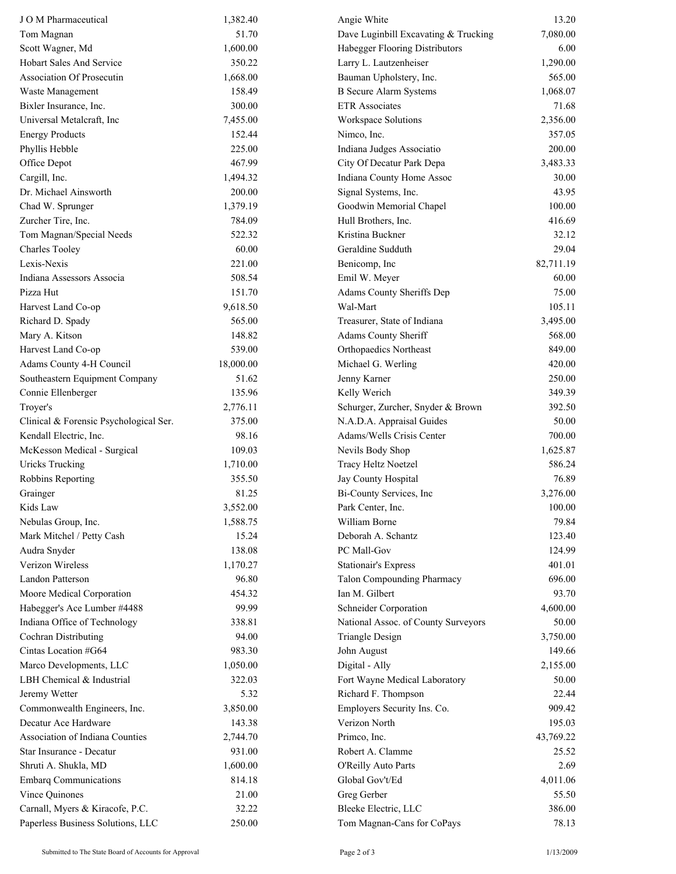| J O M Pharmaceutical                   | 1,382.40  | Angie White                          | 13.20     |
|----------------------------------------|-----------|--------------------------------------|-----------|
| Tom Magnan                             | 51.70     | Dave Luginbill Excavating & Trucking | 7,080.00  |
| Scott Wagner, Md                       | 1,600.00  | Habegger Flooring Distributors       | 6.00      |
| <b>Hobart Sales And Service</b>        | 350.22    | Larry L. Lautzenheiser               | 1,290.00  |
| <b>Association Of Prosecutin</b>       | 1,668.00  | Bauman Upholstery, Inc.              | 565.00    |
| Waste Management                       | 158.49    | <b>B</b> Secure Alarm Systems        | 1,068.07  |
| Bixler Insurance, Inc.                 | 300.00    | <b>ETR</b> Associates                | 71.68     |
| Universal Metalcraft, Inc              | 7,455.00  | Workspace Solutions                  | 2,356.00  |
| <b>Energy Products</b>                 | 152.44    | Nimco, Inc.                          | 357.05    |
| Phyllis Hebble                         | 225.00    | Indiana Judges Associatio            | 200.00    |
| Office Depot                           | 467.99    | City Of Decatur Park Depa            | 3,483.33  |
| Cargill, Inc.                          | 1,494.32  | Indiana County Home Assoc            | 30.00     |
| Dr. Michael Ainsworth                  | 200.00    | Signal Systems, Inc.                 | 43.95     |
| Chad W. Sprunger                       | 1,379.19  | Goodwin Memorial Chapel              | 100.00    |
| Zurcher Tire, Inc.                     | 784.09    | Hull Brothers, Inc.                  | 416.69    |
| Tom Magnan/Special Needs               | 522.32    | Kristina Buckner                     | 32.12     |
| <b>Charles Tooley</b>                  | 60.00     | Geraldine Sudduth                    | 29.04     |
| Lexis-Nexis                            | 221.00    | Benicomp, Inc                        | 82,711.19 |
| Indiana Assessors Associa              | 508.54    | Emil W. Meyer                        | 60.00     |
| Pizza Hut                              | 151.70    | Adams County Sheriffs Dep            | 75.00     |
| Harvest Land Co-op                     | 9,618.50  | Wal-Mart                             | 105.11    |
| Richard D. Spady                       | 565.00    | Treasurer, State of Indiana          | 3,495.00  |
| Mary A. Kitson                         | 148.82    | Adams County Sheriff                 | 568.00    |
| Harvest Land Co-op                     | 539.00    | <b>Orthopaedics Northeast</b>        | 849.00    |
| Adams County 4-H Council               | 18,000.00 | Michael G. Werling                   | 420.00    |
| Southeastern Equipment Company         | 51.62     | Jenny Karner                         | 250.00    |
| Connie Ellenberger                     | 135.96    | Kelly Werich                         | 349.39    |
| Troyer's                               | 2,776.11  | Schurger, Zurcher, Snyder & Brown    | 392.50    |
| Clinical & Forensic Psychological Ser. | 375.00    | N.A.D.A. Appraisal Guides            | 50.00     |
| Kendall Electric, Inc.                 | 98.16     | Adams/Wells Crisis Center            | 700.00    |
| McKesson Medical - Surgical            | 109.03    | Nevils Body Shop                     | 1,625.87  |
| <b>Uricks Trucking</b>                 | 1,710.00  | Tracy Heltz Noetzel                  | 586.24    |
| Robbins Reporting                      | 355.50    | Jay County Hospital                  | 76.89     |
| Grainger                               | 81.25     | Bi-County Services, Inc              | 3,276.00  |
| Kids Law                               | 3,552.00  | Park Center, Inc.                    | 100.00    |
| Nebulas Group, Inc.                    | 1,588.75  | William Borne                        | 79.84     |
| Mark Mitchel / Petty Cash              | 15.24     | Deborah A. Schantz                   | 123.40    |
| Audra Snyder                           | 138.08    | PC Mall-Gov                          | 124.99    |
| Verizon Wireless                       | 1,170.27  | <b>Stationair's Express</b>          | 401.01    |
| Landon Patterson                       | 96.80     | Talon Compounding Pharmacy           | 696.00    |
| Moore Medical Corporation              | 454.32    | Ian M. Gilbert                       | 93.70     |
| Habegger's Ace Lumber #4488            | 99.99     | Schneider Corporation                | 4,600.00  |
| Indiana Office of Technology           | 338.81    | National Assoc. of County Surveyors  | 50.00     |
| Cochran Distributing                   | 94.00     | <b>Triangle Design</b>               | 3,750.00  |
| Cintas Location #G64                   | 983.30    | John August                          | 149.66    |
| Marco Developments, LLC                | 1,050.00  | Digital - Ally                       | 2,155.00  |
| LBH Chemical & Industrial              | 322.03    | Fort Wayne Medical Laboratory        | 50.00     |
| Jeremy Wetter                          | 5.32      | Richard F. Thompson                  | 22.44     |
| Commonwealth Engineers, Inc.           | 3,850.00  | Employers Security Ins. Co.          | 909.42    |
| Decatur Ace Hardware                   | 143.38    | Verizon North                        | 195.03    |
| Association of Indiana Counties        | 2,744.70  | Primco, Inc.                         | 43,769.22 |
| Star Insurance - Decatur               | 931.00    | Robert A. Clamme                     | 25.52     |
| Shruti A. Shukla, MD                   | 1,600.00  | O'Reilly Auto Parts                  | 2.69      |
| <b>Embarq Communications</b>           | 814.18    | Global Gov't/Ed                      | 4,011.06  |
| Vince Quinones                         | 21.00     | Greg Gerber                          | 55.50     |
| Carnall, Myers & Kiracofe, P.C.        | 32.22     | Bleeke Electric, LLC                 | 386.00    |
| Paperless Business Solutions, LLC      | 250.00    | Tom Magnan-Cans for CoPays           | 78.13     |